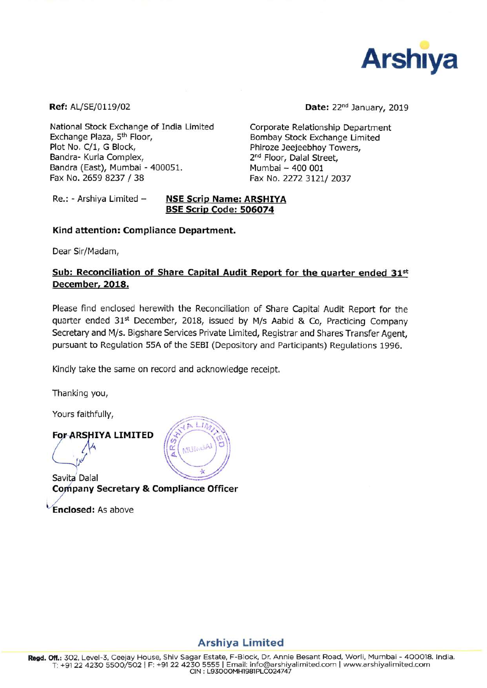

Ref: AL/SE/0119/02

Date: 22<sup>nd</sup> January, 2019

National Stock Exchange of India Limited Exchange Plaza, 5<sup>th</sup> Floor, Plot No. C/1, G Block, Bandra- Kurla Complex, Bandra (East), Mumbai - 400051. Fax No. 2659 8237 / 38

Corporate Relationship Department Bombay Stock Exchange Limited Phiroze Jeejeebhoy Towers, 2<sup>nd</sup> Floor, Dalal Street, Mumbai - 400 001 Fax No. 2272 3121/2037

#### Re.: - Arshiya Limited -**NSE Scrip Name: ARSHIYA** BSE Scrip Code: 506074

# Kind attention: Compliance Department.

Dear Sir/Madam,

# Sub: Reconciliation of Share Capital Audit Report for the quarter ended 31st December, 2018.

Please find enclosed herewith the Reconciliation of Share Capital Audit Report for the quarter ended 31<sup>st</sup> December, 2018, issued by M/s Aabid & Co, Practicing Company Secretary and M/s. Bigshare Services Private Limited, Registrar and Shares Transfer Agent, pursuant to Regulation 55A of the SEBI (Depository and Participants) Regulations 1996.

Kindly take the same on record and acknowledge receipt.

Thanking you,

Yours faithfully,

# **For-ARSHIYA LIMITED**

Savita Dalal **Company Secretary & Compliance Officer** 

**Enclosed: As above** 



# **Arshiya Limited**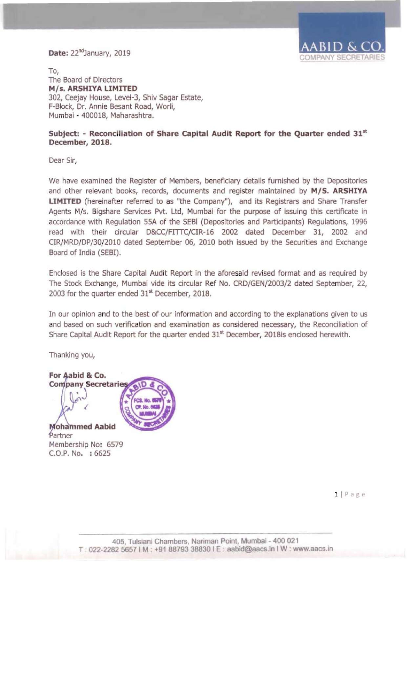# Date: 22<sup>nd</sup>January, 2019



To, The Board of Directors M/s. ARSHIYA LIMITED 302, Ceejay House, Level-3, Shiv Sagar Estate, F-Block, Dr. Annie Besant Road, Worli, Mumbal - 400018, Maharashtra.

#### Subject: - Reconciliation of Share Capital Audit Report for the Quarter ended 31st December, 2018.

Dear Sir,

We have examined the Register of Members, beneficiary details furnished by the Depositories and other relevant books, records, documents and register maintained by *MIS.* ARSHIYA LIMITED (hereinafter referred to as "the Company"), and its Registrars and Share Transfer Agents M/s. Bigshare Services Pvt. Ltd, Mumbai for the purpose of issuing this certificate in accordance with Regulation SSA of the SEBI (Depositories and Participants) Regulations, 1996 read with their circular D&CC/FITTC/CIR-16 2002 dated December 31, 2002 and CIR/MRD/DP/30/2010 dated September 06, 2010 both issued by the Securities and Exchange Board of India (SEBI).

Enclosed Is the Share Capital Audit Report in the aforesaid revised format and as required by The Stock Exchange, Mumbai vide its circular Ref No. CRD/GEN/2003/2 dated September, 22, 2003 for the quarter ended 31<sup>st</sup> December, 2018.

In our opinion and to the best of our information and according to the explanations given to us and based on such verification and examination as considered necessary, the Reconciliation of Share Capital Audit Report for the quarter ended 31<sup>st</sup> December, 2018is enclosed herewith.

Thanking you,

For Aabid & Co. **Company Secretaries Mohammed Aabid** Partner

Membership No: 6579 C.O.P. No. : 6625

 $1 | P \nexists g e$ 

405, Tulsiani Chambers. Nariman Point, Mumbai - 400 021 T : 022-2282 5657 1M : +91 88793 38830 IE : aabid@aacs.in I W : www.aacs.ln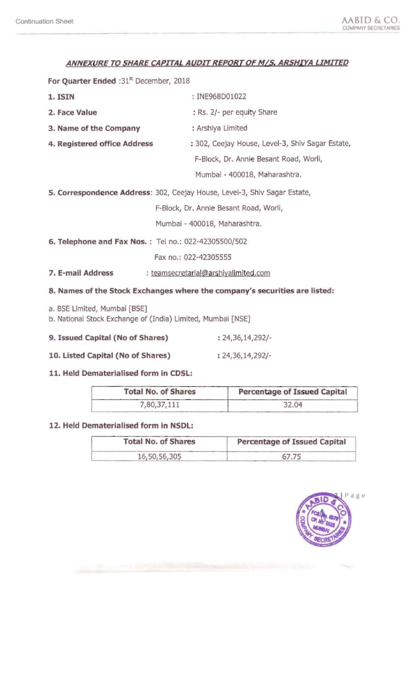# **ANNEXURE TO SHARE CAPITAL AUDIT REPORT OF M/S. ARSHIYA LIMITED**

For Quarter Ended :31<sup>st</sup> December, 2018

| 1. ISIN                                                                                     | : INE968D01022                                                             |  |  |  |
|---------------------------------------------------------------------------------------------|----------------------------------------------------------------------------|--|--|--|
| 2. Face Value                                                                               | : Rs. 2/- per equity Share                                                 |  |  |  |
| 3. Name of the Company                                                                      | : Arshiya Limited                                                          |  |  |  |
| 4. Registered office Address                                                                | : 302, Ceejay House, Level-3, Shiv Sagar Estate,                           |  |  |  |
|                                                                                             | F-Block, Dr. Annie Besant Road, Worli,                                     |  |  |  |
|                                                                                             | Mumbai - 400018, Maharashtra.                                              |  |  |  |
|                                                                                             | 5. Correspondence Address: 302, Ceejay House, Level-3, Shiv Sagar Estate,  |  |  |  |
| F-Block, Dr. Annie Besant Road, Worli,                                                      |                                                                            |  |  |  |
|                                                                                             | Mumbai - 400018, Maharashtra.                                              |  |  |  |
| 6. Telephone and Fax Nos.: Tel no.: 022-42305500/502                                        |                                                                            |  |  |  |
|                                                                                             | Fax no.: 022-42305555                                                      |  |  |  |
| 7. E-mail Address                                                                           | : teamsecretarial@arshiyalimited.com                                       |  |  |  |
|                                                                                             | 8. Names of the Stock Exchanges where the company's securities are listed: |  |  |  |
| a. BSE Limited, Mumbai [BSE]<br>b. National Stock Exchange of (India) Limited, Mumbai [NSE] |                                                                            |  |  |  |
| 9. Issued Capital (No of Shares)                                                            | $: 24,36,14,292/-$                                                         |  |  |  |

**10. listed Capital (No of Shares)** : 24,36,14,292/

# **11. Held Dematerialised form in COSL:**

| <b>Total No. of Shares</b> | Percentage of Issued Capital |  |  |
|----------------------------|------------------------------|--|--|
| 7,80,37,111                | 32.04                        |  |  |

# **12. Held Oematerialised form in NSOL:**

| <b>Total No. of Shares</b> | Percentage of Issued Capital |  |  |
|----------------------------|------------------------------|--|--|
| 16,50,56,305               |                              |  |  |

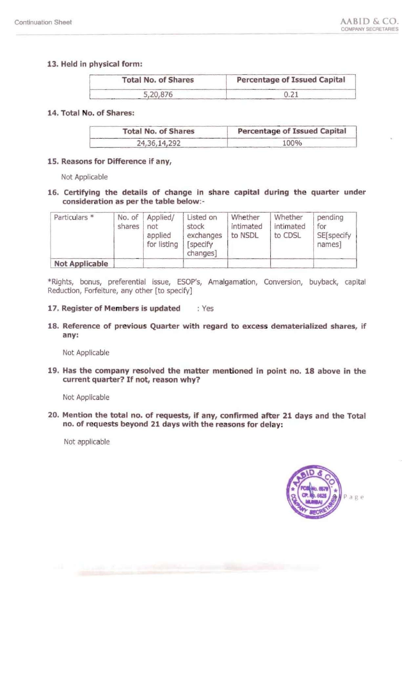# 13. Held in physical form:

| <b>Total No. of Shares</b> | Percentage of Issued Capital |  |  |
|----------------------------|------------------------------|--|--|
| 5,20,876                   |                              |  |  |

# 14. Total No. of Shares:

| <b>Total No. of Shares</b> | Percentage of Issued Capital<br>100% |  |  |
|----------------------------|--------------------------------------|--|--|
| 24, 36, 14, 292            |                                      |  |  |

# 15. Reasons for Difference if any,

Not Applicable

# 16. Certifying the details of change in share capital during the quarter under consideration as per the table below:

| Particulars *         | No. of<br>shares | Applied/<br>not<br>applied<br>for listing | Listed on<br>stock<br>exchanges<br>[specify]<br>changes] | Whether<br>intimated<br>to NSDL | Whether<br>intimated<br>to CDSL | pending<br>for<br>SE[specify<br>names] |
|-----------------------|------------------|-------------------------------------------|----------------------------------------------------------|---------------------------------|---------------------------------|----------------------------------------|
| <b>Not Applicable</b> |                  |                                           |                                                          |                                 |                                 |                                        |

\* Rights, bonus, preferential issue, ESOP's, Amalgamation, Conversion, buyback, capital Reduction, Forfeiture, any other [to specify]

#### 17. Register of Members is updated : Yes

18. Reference of previous Quarter with regard to excess dematerialized shares, if any:

Not Applicable

19. Has the company resolved the matter mentioned in point no. 18 above in the current quarter? If not, reason why?

Not Applicable

20. Mention the total no. of requests, if any, confirmed after 21 days and the Total no. of requests beyond 21 days with the reasons for delay:

Not applicable